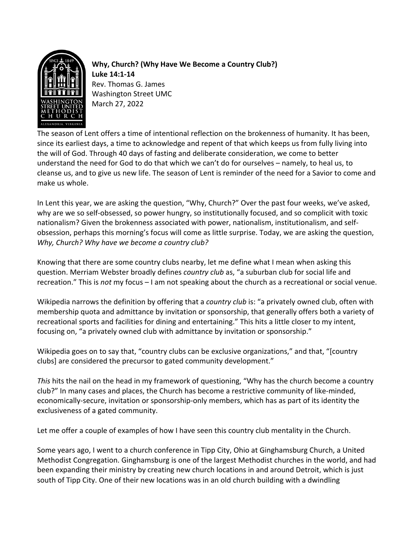

**Why, Church? (Why Have We Become a Country Club?) Luke 14:1-14** Rev. Thomas G. James Washington Street UMC March 27, 2022

The season of Lent offers a time of intentional reflection on the brokenness of humanity. It has been, since its earliest days, a time to acknowledge and repent of that which keeps us from fully living into the will of God. Through 40 days of fasting and deliberate consideration, we come to better understand the need for God to do that which we can't do for ourselves – namely, to heal us, to cleanse us, and to give us new life. The season of Lent is reminder of the need for a Savior to come and make us whole.

In Lent this year, we are asking the question, "Why, Church?" Over the past four weeks, we've asked, why are we so self-obsessed, so power hungry, so institutionally focused, and so complicit with toxic nationalism? Given the brokenness associated with power, nationalism, institutionalism, and selfobsession, perhaps this morning's focus will come as little surprise. Today, we are asking the question, *Why, Church? Why have we become a country club?*

Knowing that there are some country clubs nearby, let me define what I mean when asking this question. Merriam Webster broadly defines *country club* as, "a suburban club for social life and recreation." This is *not* my focus – I am not speaking about the church as a recreational or social venue.

Wikipedia narrows the definition by offering that a *country club* is: "a privately owned club, often with membership quota and admittance by invitation or sponsorship, that generally offers both a variety of recreational sports and facilities for dining and entertaining." This hits a little closer to my intent, focusing on, "a privately owned club with admittance by invitation or sponsorship."

Wikipedia goes on to say that, "country clubs can be exclusive organizations," and that, "[country clubs] are considered the precursor to gated community development."

*This* hits the nail on the head in my framework of questioning, "Why has the church become a country club?" In many cases and places, the Church has become a restrictive community of like-minded, economically-secure, invitation or sponsorship-only members, which has as part of its identity the exclusiveness of a gated community.

Let me offer a couple of examples of how I have seen this country club mentality in the Church.

Some years ago, I went to a church conference in Tipp City, Ohio at Ginghamsburg Church, a United Methodist Congregation. Ginghamsburg is one of the largest Methodist churches in the world, and had been expanding their ministry by creating new church locations in and around Detroit, which is just south of Tipp City. One of their new locations was in an old church building with a dwindling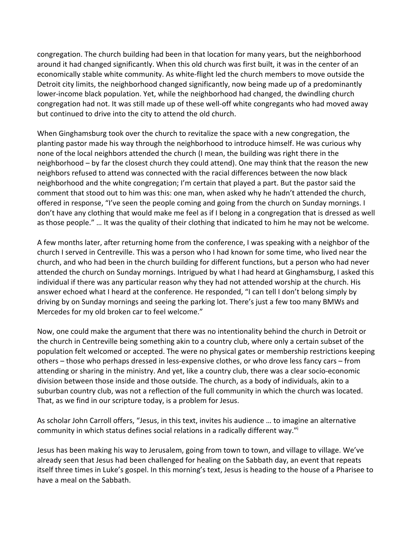congregation. The church building had been in that location for many years, but the neighborhood around it had changed significantly. When this old church was first built, it was in the center of an economically stable white community. As white-flight led the church members to move outside the Detroit city limits, the neighborhood changed significantly, now being made up of a predominantly lower-income black population. Yet, while the neighborhood had changed, the dwindling church congregation had not. It was still made up of these well-off white congregants who had moved away but continued to drive into the city to attend the old church.

When Ginghamsburg took over the church to revitalize the space with a new congregation, the planting pastor made his way through the neighborhood to introduce himself. He was curious why none of the local neighbors attended the church (I mean, the building was right there in the neighborhood – by far the closest church they could attend). One may think that the reason the new neighbors refused to attend was connected with the racial differences between the now black neighborhood and the white congregation; I'm certain that played a part. But the pastor said the comment that stood out to him was this: one man, when asked why he hadn't attended the church, offered in response, "I've seen the people coming and going from the church on Sunday mornings. I don't have any clothing that would make me feel as if I belong in a congregation that is dressed as well as those people." … It was the quality of their clothing that indicated to him he may not be welcome.

A few months later, after returning home from the conference, I was speaking with a neighbor of the church I served in Centreville. This was a person who I had known for some time, who lived near the church, and who had been in the church building for different functions, but a person who had never attended the church on Sunday mornings. Intrigued by what I had heard at Ginghamsburg, I asked this individual if there was any particular reason why they had not attended worship at the church. His answer echoed what I heard at the conference. He responded, "I can tell I don't belong simply by driving by on Sunday mornings and seeing the parking lot. There's just a few too many BMWs and Mercedes for my old broken car to feel welcome."

Now, one could make the argument that there was no intentionality behind the church in Detroit or the church in Centreville being something akin to a country club, where only a certain subset of the population felt welcomed or accepted. The were no physical gates or membership restrictions keeping others – those who perhaps dressed in less-expensive clothes, or who drove less fancy cars – from attending or sharing in the ministry. And yet, like a country club, there was a clear socio-economic division between those inside and those outside. The church, as a body of individuals, akin to a suburban country club, was not a reflection of the full community in which the church was located. That, as we find in our scripture today, is a problem for Jesus.

As scholar John Carroll offers, "Jesus, in this text, invites his audience … to imagine an alternative community in which status defines social relations in a radically different way."i

Jesus has been making his way to Jerusalem, going from town to town, and village to village. We've already seen that Jesus had been challenged for healing on the Sabbath day, an event that repeats itself three times in Luke's gospel. In this morning's text, Jesus is heading to the house of a Pharisee to have a meal on the Sabbath.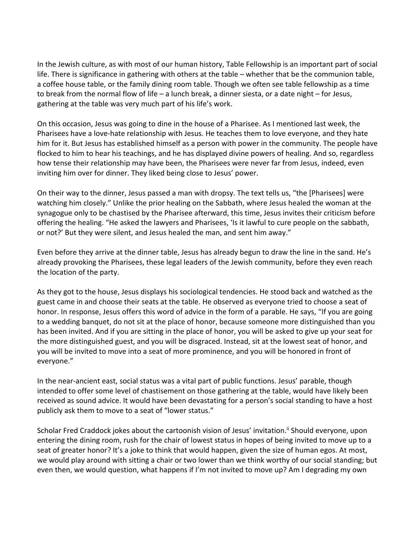In the Jewish culture, as with most of our human history, Table Fellowship is an important part of social life. There is significance in gathering with others at the table – whether that be the communion table, a coffee house table, or the family dining room table. Though we often see table fellowship as a time to break from the normal flow of life – a lunch break, a dinner siesta, or a date night – for Jesus, gathering at the table was very much part of his life's work.

On this occasion, Jesus was going to dine in the house of a Pharisee. As I mentioned last week, the Pharisees have a love-hate relationship with Jesus. He teaches them to love everyone, and they hate him for it. But Jesus has established himself as a person with power in the community. The people have flocked to him to hear his teachings, and he has displayed divine powers of healing. And so, regardless how tense their relationship may have been, the Pharisees were never far from Jesus, indeed, even inviting him over for dinner. They liked being close to Jesus' power.

On their way to the dinner, Jesus passed a man with dropsy. The text tells us, "the [Pharisees] were watching him closely." Unlike the prior healing on the Sabbath, where Jesus healed the woman at the synagogue only to be chastised by the Pharisee afterward, this time, Jesus invites their criticism before offering the healing. "He asked the lawyers and Pharisees, 'Is it lawful to cure people on the sabbath, or not?' But they were silent, and Jesus healed the man, and sent him away."

Even before they arrive at the dinner table, Jesus has already begun to draw the line in the sand. He's already provoking the Pharisees, these legal leaders of the Jewish community, before they even reach the location of the party.

As they got to the house, Jesus displays his sociological tendencies. He stood back and watched as the guest came in and choose their seats at the table. He observed as everyone tried to choose a seat of honor. In response, Jesus offers this word of advice in the form of a parable. He says, "If you are going to a wedding banquet, do not sit at the place of honor, because someone more distinguished than you has been invited. And if you are sitting in the place of honor, you will be asked to give up your seat for the more distinguished guest, and you will be disgraced. Instead, sit at the lowest seat of honor, and you will be invited to move into a seat of more prominence, and you will be honored in front of everyone."

In the near-ancient east, social status was a vital part of public functions. Jesus' parable, though intended to offer some level of chastisement on those gathering at the table, would have likely been received as sound advice. It would have been devastating for a person's social standing to have a host publicly ask them to move to a seat of "lower status."

Scholar Fred Craddock jokes about the cartoonish vision of Jesus' invitation.<sup>ii</sup> Should everyone, upon entering the dining room, rush for the chair of lowest status in hopes of being invited to move up to a seat of greater honor? It's a joke to think that would happen, given the size of human egos. At most, we would play around with sitting a chair or two lower than we think worthy of our social standing; but even then, we would question, what happens if I'm not invited to move up? Am I degrading my own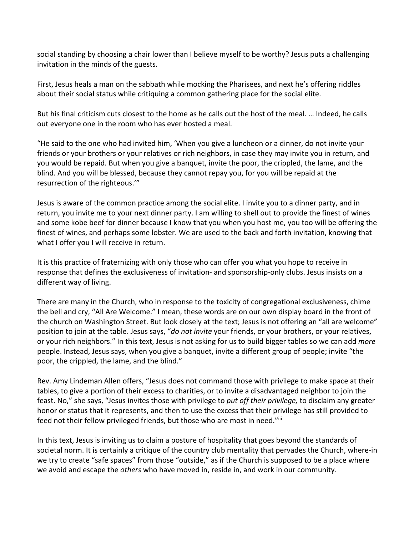social standing by choosing a chair lower than I believe myself to be worthy? Jesus puts a challenging invitation in the minds of the guests.

First, Jesus heals a man on the sabbath while mocking the Pharisees, and next he's offering riddles about their social status while critiquing a common gathering place for the social elite.

But his final criticism cuts closest to the home as he calls out the host of the meal. … Indeed, he calls out everyone one in the room who has ever hosted a meal.

"He said to the one who had invited him, 'When you give a luncheon or a dinner, do not invite your friends or your brothers or your relatives or rich neighbors, in case they may invite you in return, and you would be repaid. But when you give a banquet, invite the poor, the crippled, the lame, and the blind. And you will be blessed, because they cannot repay you, for you will be repaid at the resurrection of the righteous.'"

Jesus is aware of the common practice among the social elite. I invite you to a dinner party, and in return, you invite me to your next dinner party. I am willing to shell out to provide the finest of wines and some kobe beef for dinner because I know that you when you host me, you too will be offering the finest of wines, and perhaps some lobster. We are used to the back and forth invitation, knowing that what I offer you I will receive in return.

It is this practice of fraternizing with only those who can offer you what you hope to receive in response that defines the exclusiveness of invitation- and sponsorship-only clubs. Jesus insists on a different way of living.

There are many in the Church, who in response to the toxicity of congregational exclusiveness, chime the bell and cry, "All Are Welcome." I mean, these words are on our own display board in the front of the church on Washington Street. But look closely at the text; Jesus is not offering an "all are welcome" position to join at the table. Jesus says, "*do not invite* your friends, or your brothers, or your relatives, or your rich neighbors." In this text, Jesus is not asking for us to build bigger tables so we can add *more* people. Instead, Jesus says, when you give a banquet, invite a different group of people; invite "the poor, the crippled, the lame, and the blind."

Rev. Amy Lindeman Allen offers, "Jesus does not command those with privilege to make space at their tables, to give a portion of their excess to charities, or to invite a disadvantaged neighbor to join the feast. No," she says, "Jesus invites those with privilege to *put off their privilege,* to disclaim any greater honor or status that it represents, and then to use the excess that their privilege has still provided to feed not their fellow privileged friends, but those who are most in need."iii

In this text, Jesus is inviting us to claim a posture of hospitality that goes beyond the standards of societal norm. It is certainly a critique of the country club mentality that pervades the Church, where-in we try to create "safe spaces" from those "outside," as if the Church is supposed to be a place where we avoid and escape the *others* who have moved in, reside in, and work in our community.